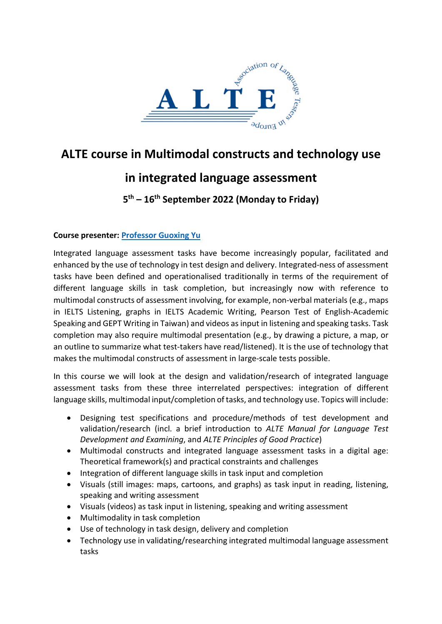

# **ALTE course in Multimodal constructs and technology use**

## **in integrated language assessment**

### **5th – 16th September 2022 (Monday to Friday)**

#### **Course presenter: [Professor Guoxing Yu](https://tinyurl.com/4uy7p8sw)**

Integrated language assessment tasks have become increasingly popular, facilitated and enhanced by the use of technology in test design and delivery. Integrated-ness of assessment tasks have been defined and operationalised traditionally in terms of the requirement of different language skills in task completion, but increasingly now with reference to multimodal constructs of assessment involving, for example, non-verbal materials (e.g., maps in IELTS Listening, graphs in IELTS Academic Writing, Pearson Test of English-Academic Speaking and GEPT Writing in Taiwan) and videos as input in listening and speaking tasks. Task completion may also require multimodal presentation (e.g., by drawing a picture, a map, or an outline to summarize what test-takers have read/listened). It is the use of technology that makes the multimodal constructs of assessment in large-scale tests possible.

In this course we will look at the design and validation/research of integrated language assessment tasks from these three interrelated perspectives: integration of different language skills, multimodal input/completion of tasks, and technology use. Topics will include:

- Designing test specifications and procedure/methods of test development and validation/research (incl. a brief introduction to *ALTE Manual for Language Test Development and Examining*, and *ALTE Principles of Good Practice*)
- Multimodal constructs and integrated language assessment tasks in a digital age: Theoretical framework(s) and practical constraints and challenges
- Integration of different language skills in task input and completion
- Visuals (still images: maps, cartoons, and graphs) as task input in reading, listening, speaking and writing assessment
- Visuals (videos) as task input in listening, speaking and writing assessment
- Multimodality in task completion
- Use of technology in task design, delivery and completion
- Technology use in validating/researching integrated multimodal language assessment tasks